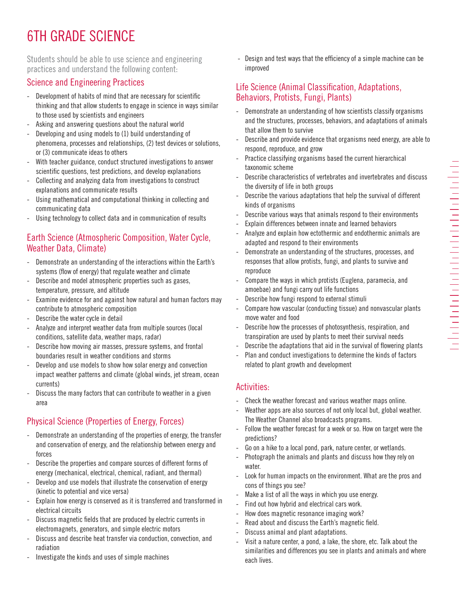# 6TH GRADE SCIENCE

Students should be able to use science and engineering practices and understand the following content:

### Science and Engineering Practices

- Development of habits of mind that are necessary for scientific thinking and that allow students to engage in science in ways similar to those used by scientists and engineers
- Asking and answering questions about the natural world
- Developing and using models to (1) build understanding of phenomena, processes and relationships, (2) test devices or solutions, or (3) communicate ideas to others
- With teacher guidance, conduct structured investigations to answer scientific questions, test predictions, and develop explanations
- Collecting and analyzing data from investigations to construct explanations and communicate results
- Using mathematical and computational thinking in collecting and communicating data
- Using technology to collect data and in communication of results

#### Earth Science (Atmospheric Composition, Water Cycle, Weather Data, Climate)

- Demonstrate an understanding of the interactions within the Earth's systems (flow of energy) that regulate weather and climate
- Describe and model atmospheric properties such as gases, temperature, pressure, and altitude
- Examine evidence for and against how natural and human factors may contribute to atmospheric composition
- Describe the water cycle in detail
- Analyze and interpret weather data from multiple sources (local conditions, satellite data, weather maps, radar)
- Describe how moving air masses, pressure systems, and frontal boundaries result in weather conditions and storms
- Develop and use models to show how solar energy and convection impact weather patterns and climate (global winds, jet stream, ocean currents)
- Discuss the many factors that can contribute to weather in a given area

## Physical Science (Properties of Energy, Forces)

- Demonstrate an understanding of the properties of energy, the transfer and conservation of energy, and the relationship between energy and forces
- Describe the properties and compare sources of different forms of energy (mechanical, electrical, chemical, radiant, and thermal)
- Develop and use models that illustrate the conservation of energy (kinetic to potential and vice versa)
- Explain how energy is conserved as it is transferred and transformed in electrical circuits
- Discuss magnetic fields that are produced by electric currents in electromagnets, generators, and simple electric motors
- Discuss and describe heat transfer via conduction, convection, and radiation
- Investigate the kinds and uses of simple machines

- Design and test ways that the efficiency of a simple machine can be improved

#### Life Science (Animal Classification, Adaptations, Behaviors, Protists, Fungi, Plants)

- Demonstrate an understanding of how scientists classify organisms and the structures, processes, behaviors, and adaptations of animals that allow them to survive
- Describe and provide evidence that organisms need energy, are able to respond, reproduce, and grow
- Practice classifying organisms based the current hierarchical taxonomic scheme
- Describe characteristics of vertebrates and invertebrates and discuss the diversity of life in both groups
- Describe the various adaptations that help the survival of different kinds of organisms
- Describe various ways that animals respond to their environments
- Explain differences between innate and learned behaviors
- Analyze and explain how ectothermic and endothermic animals are adapted and respond to their environments
- Demonstrate an understanding of the structures, processes, and responses that allow protists, fungi, and plants to survive and reproduce
- Compare the ways in which protists (Euglena, paramecia, and amoebae) and fungi carry out life functions
- Describe how fungi respond to external stimuli
- Compare how vascular (conducting tissue) and nonvascular plants move water and food
- Describe how the processes of photosynthesis, respiration, and transpiration are used by plants to meet their survival needs
- Describe the adaptations that aid in the survival of flowering plants
- Plan and conduct investigations to determine the kinds of factors related to plant growth and development

### Activities:

- Check the weather forecast and various weather maps online.
- Weather apps are also sources of not only local but, global weather. The Weather Channel also broadcasts programs.
- Follow the weather forecast for a week or so. How on target were the predictions?
- Go on a hike to a local pond, park, nature center, or wetlands.
- Photograph the animals and plants and discuss how they rely on water.
- Look for human impacts on the environment. What are the pros and cons of things you see?
- Make a list of all the ways in which you use energy.
- Find out how hybrid and electrical cars work.
- How does magnetic resonance imaging work?
- Read about and discuss the Earth's magnetic field.
- Discuss animal and plant adaptations.
- Visit a nature center, a pond, a lake, the shore, etc. Talk about the similarities and differences you see in plants and animals and where each lives.